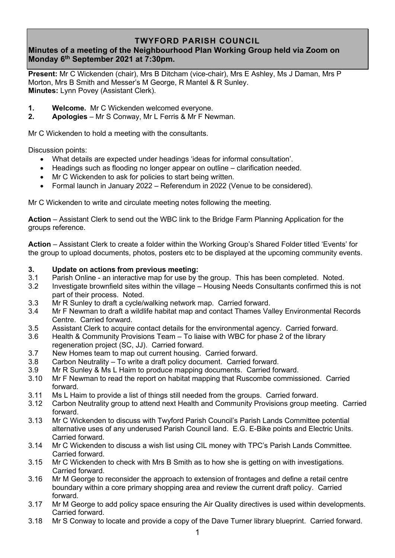## **TWYFORD PARISH COUNCIL**

# **Minutes of a meeting of the Neighbourhood Plan Working Group held via Zoom on Monday 6 th September 2021 at 7:30pm.**

**Present:** Mr C Wickenden (chair), Mrs B Ditcham (vice-chair), Mrs E Ashley, Ms J Daman, Mrs P Morton, Mrs B Smith and Messer's M George, R Mantel & R Sunley. **Minutes:** Lynn Povey (Assistant Clerk).

- **1. Welcome.** Mr C Wickenden welcomed everyone.
- **2. Apologies** Mr S Conway, Mr L Ferris & Mr F Newman.

Mr C Wickenden to hold a meeting with the consultants.

Discussion points:

- What details are expected under headings 'ideas for informal consultation'.
- Headings such as flooding no longer appear on outline clarification needed.
- Mr C Wickenden to ask for policies to start being written.
- Formal launch in January 2022 Referendum in 2022 (Venue to be considered).

Mr C Wickenden to write and circulate meeting notes following the meeting.

**Action** – Assistant Clerk to send out the WBC link to the Bridge Farm Planning Application for the groups reference.

**Action** – Assistant Clerk to create a folder within the Working Group's Shared Folder titled 'Events' for the group to upload documents, photos, posters etc to be displayed at the upcoming community events.

#### **3. Update on actions from previous meeting:**

- 3.1 Parish Online an interactive map for use by the group. This has been completed. Noted.
- 3.2 Investigate brownfield sites within the village Housing Needs Consultants confirmed this is not part of their process. Noted.
- 3.3 Mr R Sunley to draft a cycle/walking network map. Carried forward.
- 3.4 Mr F Newman to draft a wildlife habitat map and contact Thames Valley Environmental Records Centre. Carried forward.
- 3.5 Assistant Clerk to acquire contact details for the environmental agency. Carried forward.
- 3.6 Health & Community Provisions Team To liaise with WBC for phase 2 of the library regeneration project (SC, JJ). Carried forward.
- 3.7 New Homes team to map out current housing. Carried forward.
- 3.8 Carbon Neutrality To write a draft policy document. Carried forward.
- 3.9 Mr R Sunley & Ms L Haim to produce mapping documents. Carried forward.
- 3.10 Mr F Newman to read the report on habitat mapping that Ruscombe commissioned. Carried forward.
- 3.11 Ms L Haim to provide a list of things still needed from the groups. Carried forward.
- 3.12 Carbon Neutrality group to attend next Health and Community Provisions group meeting. Carried forward.
- 3.13 Mr C Wickenden to discuss with Twyford Parish Council's Parish Lands Committee potential alternative uses of any underused Parish Council land. E.G. E-Bike points and Electric Units. Carried forward.
- 3.14 Mr C Wickenden to discuss a wish list using CIL money with TPC's Parish Lands Committee. Carried forward.
- 3.15 Mr C Wickenden to check with Mrs B Smith as to how she is getting on with investigations. Carried forward.
- 3.16 Mr M George to reconsider the approach to extension of frontages and define a retail centre boundary within a core primary shopping area and review the current draft policy. Carried forward.
- 3.17 Mr M George to add policy space ensuring the Air Quality directives is used within developments. Carried forward.
- 3.18 Mr S Conway to locate and provide a copy of the Dave Turner library blueprint. Carried forward.